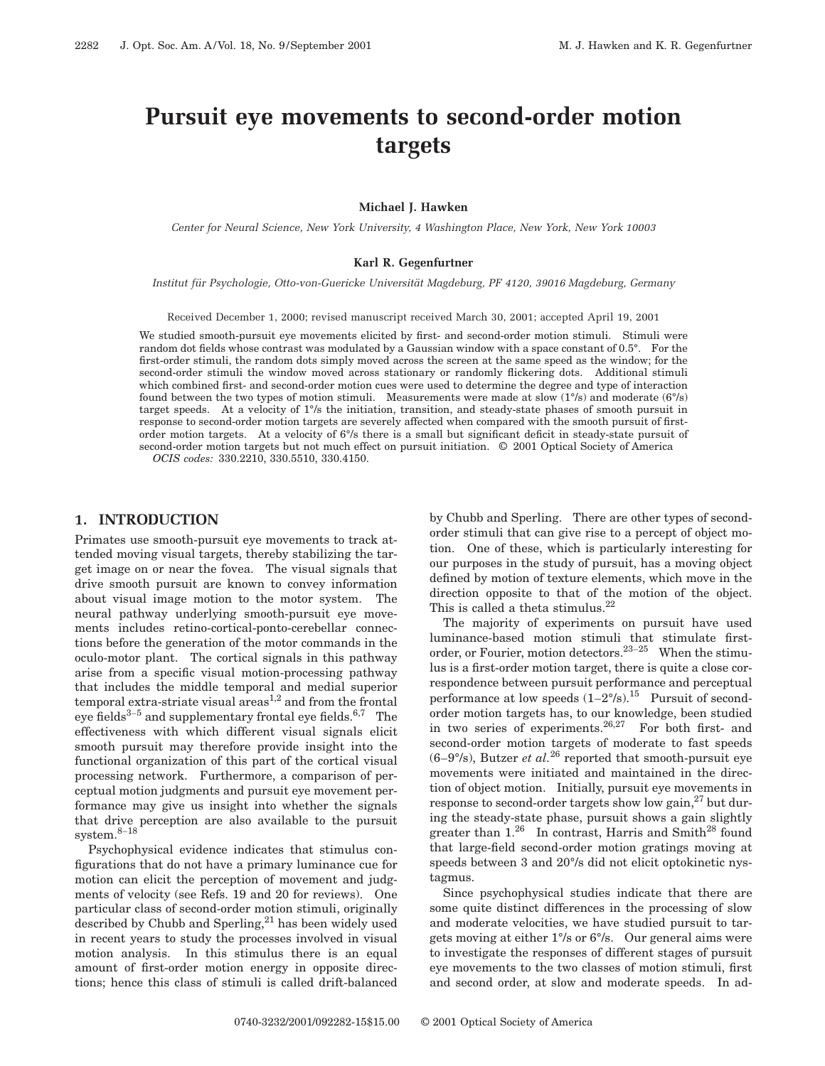# **Pursuit eye movements to second-order motion targets**

**Michael J. Hawken**

*Center for Neural Science, New York University, 4 Washington Place, New York, New York 10003*

#### **Karl R. Gegenfurtner**

*Institut fu¨r Psychologie, Otto-von-Guericke Universita¨t Magdeburg, PF 4120, 39016 Magdeburg, Germany*

Received December 1, 2000; revised manuscript received March 30, 2001; accepted April 19, 2001

We studied smooth-pursuit eye movements elicited by first- and second-order motion stimuli. Stimuli were random dot fields whose contrast was modulated by a Gaussian window with a space constant of 0.5°. For the first-order stimuli, the random dots simply moved across the screen at the same speed as the window; for the second-order stimuli the window moved across stationary or randomly flickering dots. Additional stimuli which combined first- and second-order motion cues were used to determine the degree and type of interaction found between the two types of motion stimuli. Measurements were made at slow (1°/s) and moderate (6°/s) target speeds. At a velocity of 1°/s the initiation, transition, and steady-state phases of smooth pursuit in response to second-order motion targets are severely affected when compared with the smooth pursuit of firstorder motion targets. At a velocity of 6°/s there is a small but significant deficit in steady-state pursuit of second-order motion targets but not much effect on pursuit initiation. © 2001 Optical Society of America

*OCIS codes:* 330.2210, 330.5510, 330.4150.

# **1. INTRODUCTION**

Primates use smooth-pursuit eye movements to track attended moving visual targets, thereby stabilizing the target image on or near the fovea. The visual signals that drive smooth pursuit are known to convey information about visual image motion to the motor system. The neural pathway underlying smooth-pursuit eye movements includes retino-cortical-ponto-cerebellar connections before the generation of the motor commands in the oculo-motor plant. The cortical signals in this pathway arise from a specific visual motion-processing pathway that includes the middle temporal and medial superior temporal extra-striate visual areas<sup>1,2</sup> and from the frontal eye fields $3-5$  and supplementary frontal eye fields.  $6,7$  The effectiveness with which different visual signals elicit smooth pursuit may therefore provide insight into the functional organization of this part of the cortical visual processing network. Furthermore, a comparison of perceptual motion judgments and pursuit eye movement performance may give us insight into whether the signals that drive perception are also available to the pursuit system.8–<sup>18</sup>

Psychophysical evidence indicates that stimulus configurations that do not have a primary luminance cue for motion can elicit the perception of movement and judgments of velocity (see Refs. 19 and 20 for reviews). One particular class of second-order motion stimuli, originally described by Chubb and Sperling,<sup>21</sup> has been widely used in recent years to study the processes involved in visual motion analysis. In this stimulus there is an equal amount of first-order motion energy in opposite directions; hence this class of stimuli is called drift-balanced by Chubb and Sperling. There are other types of secondorder stimuli that can give rise to a percept of object motion. One of these, which is particularly interesting for our purposes in the study of pursuit, has a moving object defined by motion of texture elements, which move in the direction opposite to that of the motion of the object. This is called a theta stimulus. $^{22}$ 

The majority of experiments on pursuit have used luminance-based motion stimuli that stimulate firstorder, or Fourier, motion detectors.  $23-25$  When the stimulus is a first-order motion target, there is quite a close correspondence between pursuit performance and perceptual performance at low speeds  $(1-2^{\circ}/s)$ .<sup>15</sup> Pursuit of secondorder motion targets has, to our knowledge, been studied in two series of experiments.<sup>26,27</sup> For both first- and second-order motion targets of moderate to fast speeds  $(6-9^{\circ}/s)$ , Butzer *et al.*<sup>26</sup> reported that smooth-pursuit eye movements were initiated and maintained in the direction of object motion. Initially, pursuit eye movements in response to second-order targets show low gain, $^{27}$  but during the steady-state phase, pursuit shows a gain slightly greater than  $1.^{26}$  In contrast, Harris and Smith<sup>28</sup> found that large-field second-order motion gratings moving at speeds between 3 and 20°/s did not elicit optokinetic nystagmus.

Since psychophysical studies indicate that there are some quite distinct differences in the processing of slow and moderate velocities, we have studied pursuit to targets moving at either 1°/s or 6°/s. Our general aims were to investigate the responses of different stages of pursuit eye movements to the two classes of motion stimuli, first and second order, at slow and moderate speeds. In ad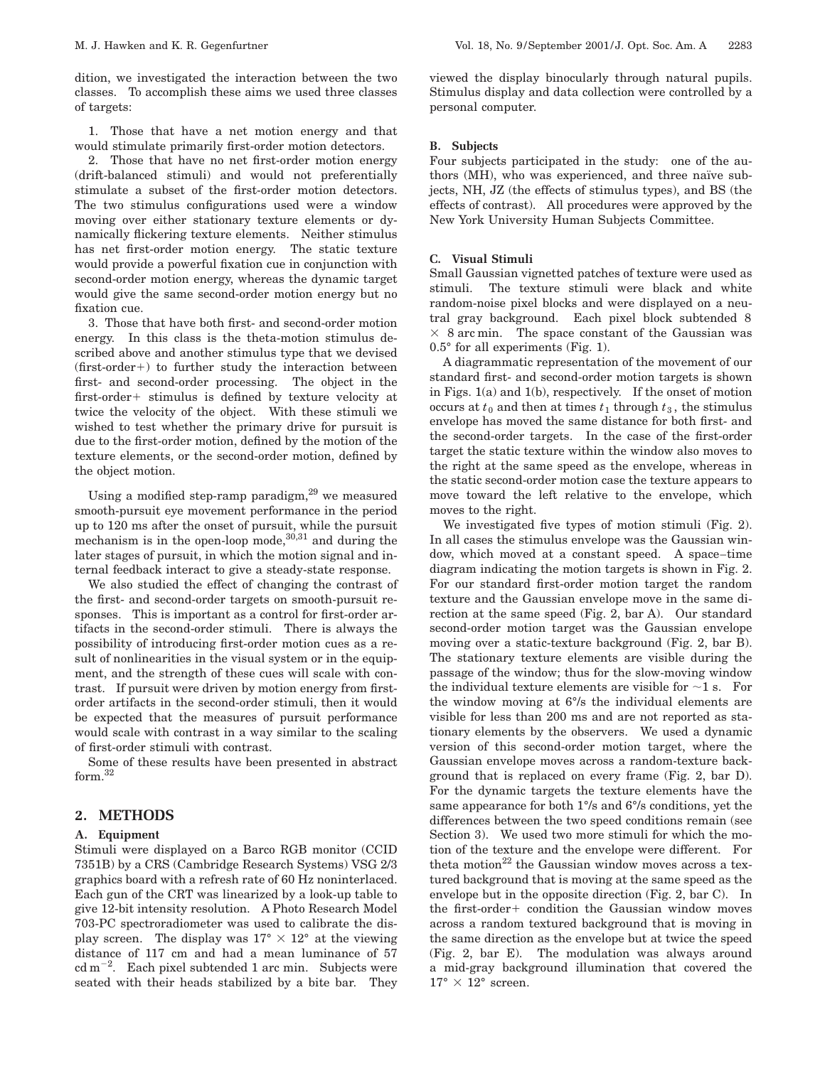dition, we investigated the interaction between the two classes. To accomplish these aims we used three classes of targets:

1. Those that have a net motion energy and that would stimulate primarily first-order motion detectors.

2. Those that have no net first-order motion energy (drift-balanced stimuli) and would not preferentially stimulate a subset of the first-order motion detectors. The two stimulus configurations used were a window moving over either stationary texture elements or dynamically flickering texture elements. Neither stimulus has net first-order motion energy. The static texture would provide a powerful fixation cue in conjunction with second-order motion energy, whereas the dynamic target would give the same second-order motion energy but no fixation cue.

3. Those that have both first- and second-order motion energy. In this class is the theta-motion stimulus described above and another stimulus type that we devised  $(first-order+)$  to further study the interaction between first- and second-order processing. The object in the first-order+ stimulus is defined by texture velocity at twice the velocity of the object. With these stimuli we wished to test whether the primary drive for pursuit is due to the first-order motion, defined by the motion of the texture elements, or the second-order motion, defined by the object motion.

Using a modified step-ramp paradigm, $29$  we measured smooth-pursuit eye movement performance in the period up to 120 ms after the onset of pursuit, while the pursuit mechanism is in the open-loop mode,  $30,31$  and during the later stages of pursuit, in which the motion signal and internal feedback interact to give a steady-state response.

We also studied the effect of changing the contrast of the first- and second-order targets on smooth-pursuit responses. This is important as a control for first-order artifacts in the second-order stimuli. There is always the possibility of introducing first-order motion cues as a result of nonlinearities in the visual system or in the equipment, and the strength of these cues will scale with contrast. If pursuit were driven by motion energy from firstorder artifacts in the second-order stimuli, then it would be expected that the measures of pursuit performance would scale with contrast in a way similar to the scaling of first-order stimuli with contrast.

Some of these results have been presented in abstract form.32

# **2. METHODS**

# **A. Equipment**

Stimuli were displayed on a Barco RGB monitor (CCID 7351B) by a CRS (Cambridge Research Systems) VSG 2/3 graphics board with a refresh rate of 60 Hz noninterlaced. Each gun of the CRT was linearized by a look-up table to give 12-bit intensity resolution. A Photo Research Model 703-PC spectroradiometer was used to calibrate the display screen. The display was  $17^{\circ} \times 12^{\circ}$  at the viewing distance of 117 cm and had a mean luminance of 57  $\text{cd m}^{-2}$ . Each pixel subtended 1 arc min. Subjects were seated with their heads stabilized by a bite bar. They

viewed the display binocularly through natural pupils. Stimulus display and data collection were controlled by a personal computer.

## **B. Subjects**

Four subjects participated in the study: one of the authors (MH), who was experienced, and three naïve subjects, NH, JZ (the effects of stimulus types), and BS (the effects of contrast). All procedures were approved by the New York University Human Subjects Committee.

# **C. Visual Stimuli**

Small Gaussian vignetted patches of texture were used as stimuli. The texture stimuli were black and white random-noise pixel blocks and were displayed on a neutral gray background. Each pixel block subtended 8  $\times$  8 arc min. The space constant of the Gaussian was 0.5° for all experiments (Fig. 1).

A diagrammatic representation of the movement of our standard first- and second-order motion targets is shown in Figs. 1(a) and 1(b), respectively. If the onset of motion occurs at  $t_0$  and then at times  $t_1$  through  $t_3$ , the stimulus envelope has moved the same distance for both first- and the second-order targets. In the case of the first-order target the static texture within the window also moves to the right at the same speed as the envelope, whereas in the static second-order motion case the texture appears to move toward the left relative to the envelope, which moves to the right.

We investigated five types of motion stimuli (Fig. 2). In all cases the stimulus envelope was the Gaussian window, which moved at a constant speed. A space–time diagram indicating the motion targets is shown in Fig. 2. For our standard first-order motion target the random texture and the Gaussian envelope move in the same direction at the same speed (Fig. 2, bar A). Our standard second-order motion target was the Gaussian envelope moving over a static-texture background (Fig. 2, bar B). The stationary texture elements are visible during the passage of the window; thus for the slow-moving window the individual texture elements are visible for  $\sim$ 1 s. For the window moving at 6°/s the individual elements are visible for less than 200 ms and are not reported as stationary elements by the observers. We used a dynamic version of this second-order motion target, where the Gaussian envelope moves across a random-texture background that is replaced on every frame (Fig. 2, bar D). For the dynamic targets the texture elements have the same appearance for both 1°/s and 6°/s conditions, yet the differences between the two speed conditions remain (see Section 3). We used two more stimuli for which the motion of the texture and the envelope were different. For theta motion<sup>22</sup> the Gaussian window moves across a textured background that is moving at the same speed as the envelope but in the opposite direction (Fig. 2, bar C). In the first-order+ condition the Gaussian window moves across a random textured background that is moving in the same direction as the envelope but at twice the speed (Fig. 2, bar E). The modulation was always around a mid-gray background illumination that covered the  $17^{\circ} \times 12^{\circ}$  screen.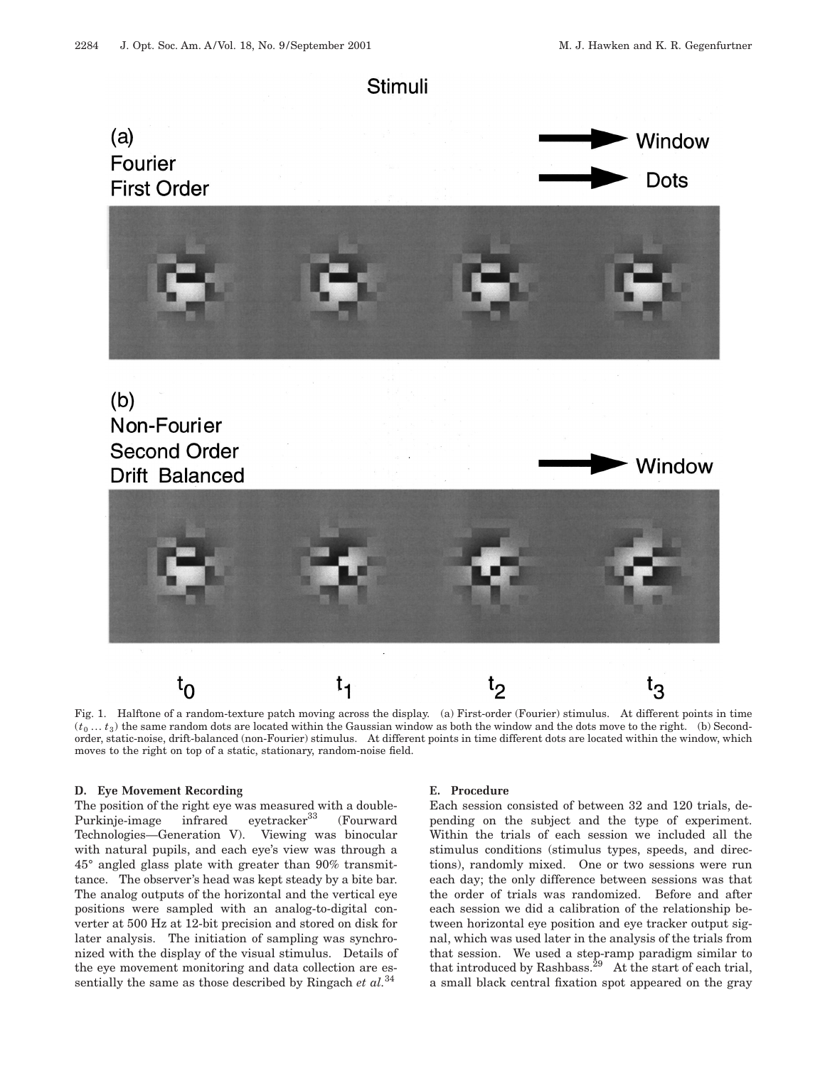

Fig. 1. Halftone of a random-texture patch moving across the display. (a) First-order (Fourier) stimulus. At different points in time  $(t_0 \ldots t_3)$  the same random dots are located within the Gaussian window as both the window and the dots move to the right. (b) Secondorder, static-noise, drift-balanced (non-Fourier) stimulus. At different points in time different dots are located within the window, which moves to the right on top of a static, stationary, random-noise field.

#### **D. Eye Movement Recording**

The position of the right eye was measured with a double-Purkinje-image infrared eyetracker<sup>33</sup> (Fourward Technologies—Generation V). Viewing was binocular with natural pupils, and each eye's view was through a 45° angled glass plate with greater than 90% transmittance. The observer's head was kept steady by a bite bar. The analog outputs of the horizontal and the vertical eye positions were sampled with an analog-to-digital converter at 500 Hz at 12-bit precision and stored on disk for later analysis. The initiation of sampling was synchronized with the display of the visual stimulus. Details of the eye movement monitoring and data collection are essentially the same as those described by Ringach *et al.*<sup>34</sup>

#### **E. Procedure**

Each session consisted of between 32 and 120 trials, depending on the subject and the type of experiment. Within the trials of each session we included all the stimulus conditions (stimulus types, speeds, and directions), randomly mixed. One or two sessions were run each day; the only difference between sessions was that the order of trials was randomized. Before and after each session we did a calibration of the relationship between horizontal eye position and eye tracker output signal, which was used later in the analysis of the trials from that session. We used a step-ramp paradigm similar to that introduced by Rashbass.29 At the start of each trial, a small black central fixation spot appeared on the gray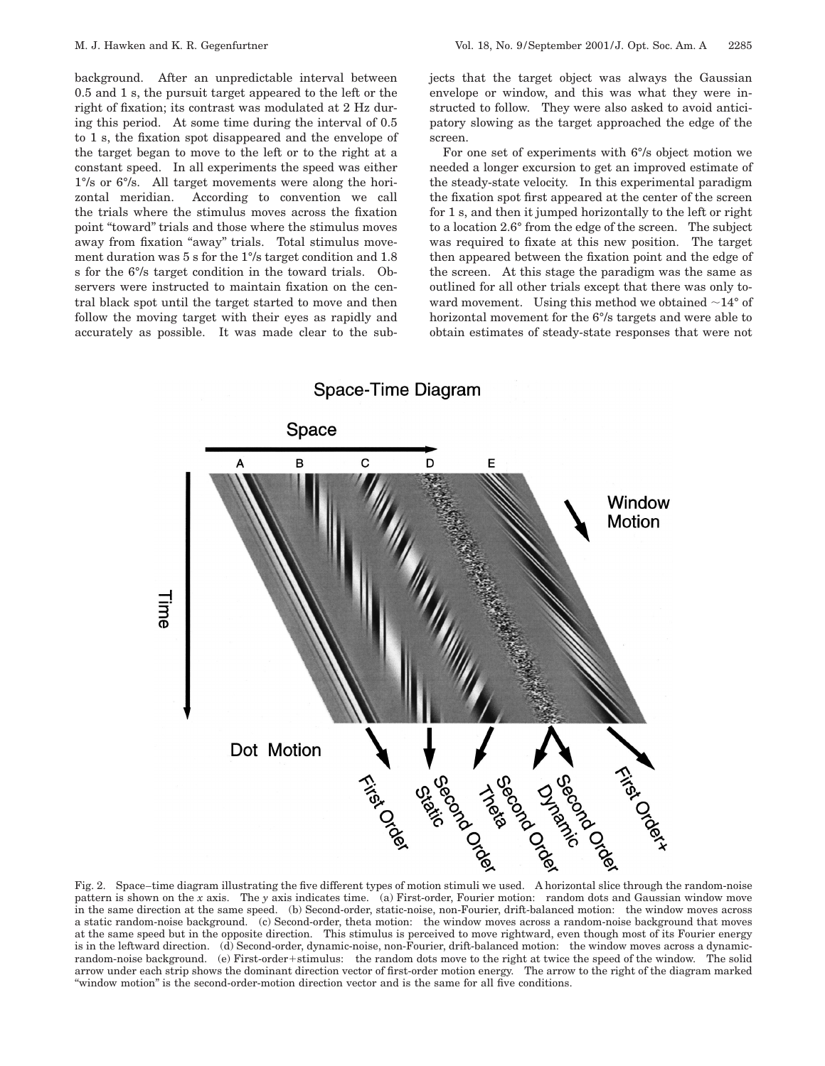background. After an unpredictable interval between 0.5 and 1 s, the pursuit target appeared to the left or the right of fixation; its contrast was modulated at 2 Hz during this period. At some time during the interval of 0.5 to 1 s, the fixation spot disappeared and the envelope of the target began to move to the left or to the right at a constant speed. In all experiments the speed was either 1°/s or 6°/s. All target movements were along the horizontal meridian. According to convention we call the trials where the stimulus moves across the fixation point "toward" trials and those where the stimulus moves away from fixation "away" trials. Total stimulus movement duration was 5 s for the 1°/s target condition and 1.8 s for the 6°/s target condition in the toward trials. Observers were instructed to maintain fixation on the central black spot until the target started to move and then follow the moving target with their eyes as rapidly and accurately as possible. It was made clear to the subjects that the target object was always the Gaussian envelope or window, and this was what they were instructed to follow. They were also asked to avoid anticipatory slowing as the target approached the edge of the screen.

For one set of experiments with 6°/s object motion we needed a longer excursion to get an improved estimate of the steady-state velocity. In this experimental paradigm the fixation spot first appeared at the center of the screen for 1 s, and then it jumped horizontally to the left or right to a location 2.6° from the edge of the screen. The subject was required to fixate at this new position. The target then appeared between the fixation point and the edge of the screen. At this stage the paradigm was the same as outlined for all other trials except that there was only toward movement. Using this method we obtained  $\sim$ 14° of horizontal movement for the 6°/s targets and were able to obtain estimates of steady-state responses that were not



pattern is shown on the *x* axis. The *y* axis indicates time. (a) First-order, Fourier motion: random dots and Gaussian window move in the same direction at the same speed. (b) Second-order, static-noise, non-Fourier, drift-balanced motion: the window moves across a static random-noise background. (c) Second-order, theta motion: the window moves across a random-noise background that moves at the same speed but in the opposite direction. This stimulus is perceived to move rightward, even though most of its Fourier energy is in the leftward direction. (d) Second-order, dynamic-noise, non-Fourier, drift-balanced motion: the window moves across a dynamicrandom-noise background. (e) First-order+stimulus: the random dots move to the right at twice the speed of the window. The solid arrow under each strip shows the dominant direction vector of first-order motion energy. The arrow to the right of the diagram marked ''window motion'' is the second-order-motion direction vector and is the same for all five conditions.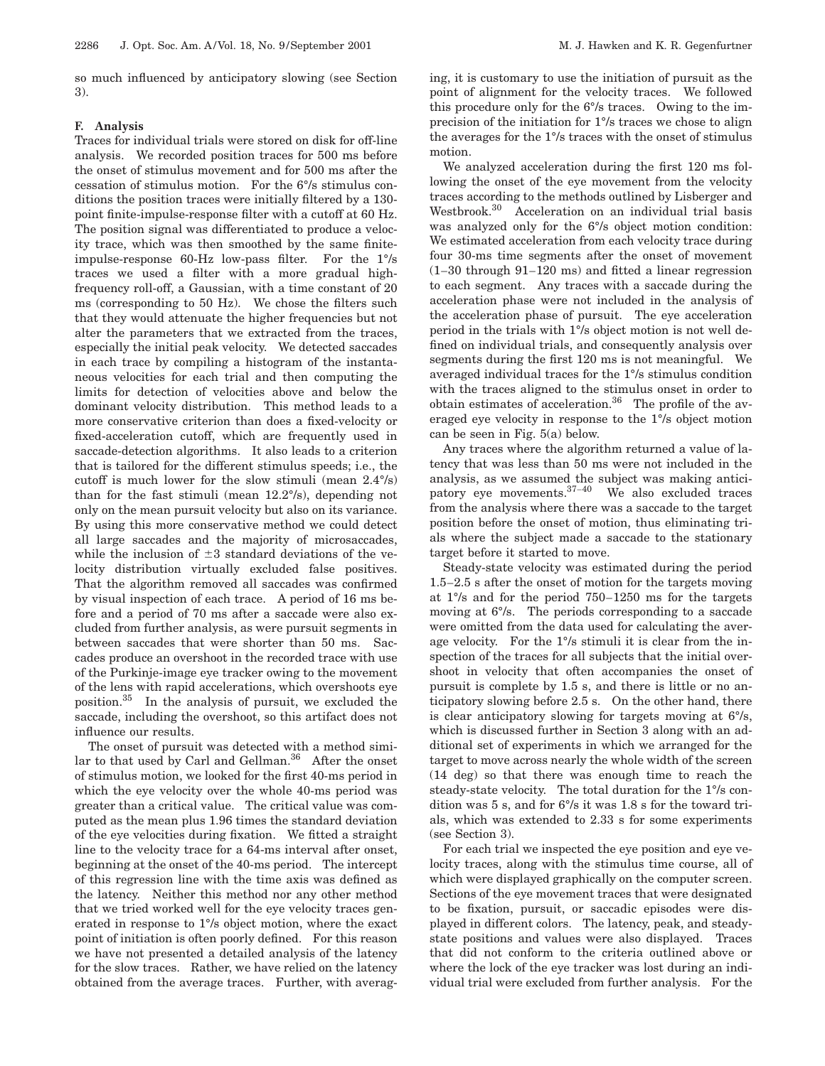so much influenced by anticipatory slowing (see Section 3).

#### **F. Analysis**

Traces for individual trials were stored on disk for off-line analysis. We recorded position traces for 500 ms before the onset of stimulus movement and for 500 ms after the cessation of stimulus motion. For the 6°/s stimulus conditions the position traces were initially filtered by a 130 point finite-impulse-response filter with a cutoff at 60 Hz. The position signal was differentiated to produce a velocity trace, which was then smoothed by the same finiteimpulse-response 60-Hz low-pass filter. For the 1°/s traces we used a filter with a more gradual highfrequency roll-off, a Gaussian, with a time constant of 20 ms (corresponding to 50 Hz). We chose the filters such that they would attenuate the higher frequencies but not alter the parameters that we extracted from the traces, especially the initial peak velocity. We detected saccades in each trace by compiling a histogram of the instantaneous velocities for each trial and then computing the limits for detection of velocities above and below the dominant velocity distribution. This method leads to a more conservative criterion than does a fixed-velocity or fixed-acceleration cutoff, which are frequently used in saccade-detection algorithms. It also leads to a criterion that is tailored for the different stimulus speeds; i.e., the cutoff is much lower for the slow stimuli (mean 2.4°/s) than for the fast stimuli (mean 12.2°/s), depending not only on the mean pursuit velocity but also on its variance. By using this more conservative method we could detect all large saccades and the majority of microsaccades, while the inclusion of  $\pm 3$  standard deviations of the velocity distribution virtually excluded false positives. That the algorithm removed all saccades was confirmed by visual inspection of each trace. A period of 16 ms before and a period of 70 ms after a saccade were also excluded from further analysis, as were pursuit segments in between saccades that were shorter than 50 ms. Saccades produce an overshoot in the recorded trace with use of the Purkinje-image eye tracker owing to the movement of the lens with rapid accelerations, which overshoots eye position.35 In the analysis of pursuit, we excluded the saccade, including the overshoot, so this artifact does not influence our results.

The onset of pursuit was detected with a method similar to that used by Carl and Gellman. $36$  After the onset of stimulus motion, we looked for the first 40-ms period in which the eye velocity over the whole 40-ms period was greater than a critical value. The critical value was computed as the mean plus 1.96 times the standard deviation of the eye velocities during fixation. We fitted a straight line to the velocity trace for a 64-ms interval after onset, beginning at the onset of the 40-ms period. The intercept of this regression line with the time axis was defined as the latency. Neither this method nor any other method that we tried worked well for the eye velocity traces generated in response to 1°/s object motion, where the exact point of initiation is often poorly defined. For this reason we have not presented a detailed analysis of the latency for the slow traces. Rather, we have relied on the latency obtained from the average traces. Further, with averaging, it is customary to use the initiation of pursuit as the point of alignment for the velocity traces. We followed this procedure only for the 6°/s traces. Owing to the imprecision of the initiation for 1°/s traces we chose to align the averages for the 1°/s traces with the onset of stimulus motion.

We analyzed acceleration during the first 120 ms following the onset of the eye movement from the velocity traces according to the methods outlined by Lisberger and Westbrook.30 Acceleration on an individual trial basis was analyzed only for the  $6\%$  object motion condition: We estimated acceleration from each velocity trace during four 30-ms time segments after the onset of movement (1–30 through 91–120 ms) and fitted a linear regression to each segment. Any traces with a saccade during the acceleration phase were not included in the analysis of the acceleration phase of pursuit. The eye acceleration period in the trials with 1°/s object motion is not well defined on individual trials, and consequently analysis over segments during the first 120 ms is not meaningful. We averaged individual traces for the 1°/s stimulus condition with the traces aligned to the stimulus onset in order to obtain estimates of acceleration. $36$  The profile of the averaged eye velocity in response to the 1°/s object motion can be seen in Fig. 5(a) below.

Any traces where the algorithm returned a value of latency that was less than 50 ms were not included in the analysis, as we assumed the subject was making anticipatory eye movements.37–<sup>40</sup> We also excluded traces from the analysis where there was a saccade to the target position before the onset of motion, thus eliminating trials where the subject made a saccade to the stationary target before it started to move.

Steady-state velocity was estimated during the period 1.5–2.5 s after the onset of motion for the targets moving at 1°/s and for the period 750–1250 ms for the targets moving at 6°/s. The periods corresponding to a saccade were omitted from the data used for calculating the average velocity. For the 1°/s stimuli it is clear from the inspection of the traces for all subjects that the initial overshoot in velocity that often accompanies the onset of pursuit is complete by 1.5 s, and there is little or no anticipatory slowing before 2.5 s. On the other hand, there is clear anticipatory slowing for targets moving at 6°/s, which is discussed further in Section 3 along with an additional set of experiments in which we arranged for the target to move across nearly the whole width of the screen (14 deg) so that there was enough time to reach the steady-state velocity. The total duration for the 1°/s condition was 5 s, and for 6°/s it was 1.8 s for the toward trials, which was extended to 2.33 s for some experiments (see Section 3).

For each trial we inspected the eye position and eye velocity traces, along with the stimulus time course, all of which were displayed graphically on the computer screen. Sections of the eye movement traces that were designated to be fixation, pursuit, or saccadic episodes were displayed in different colors. The latency, peak, and steadystate positions and values were also displayed. Traces that did not conform to the criteria outlined above or where the lock of the eye tracker was lost during an individual trial were excluded from further analysis. For the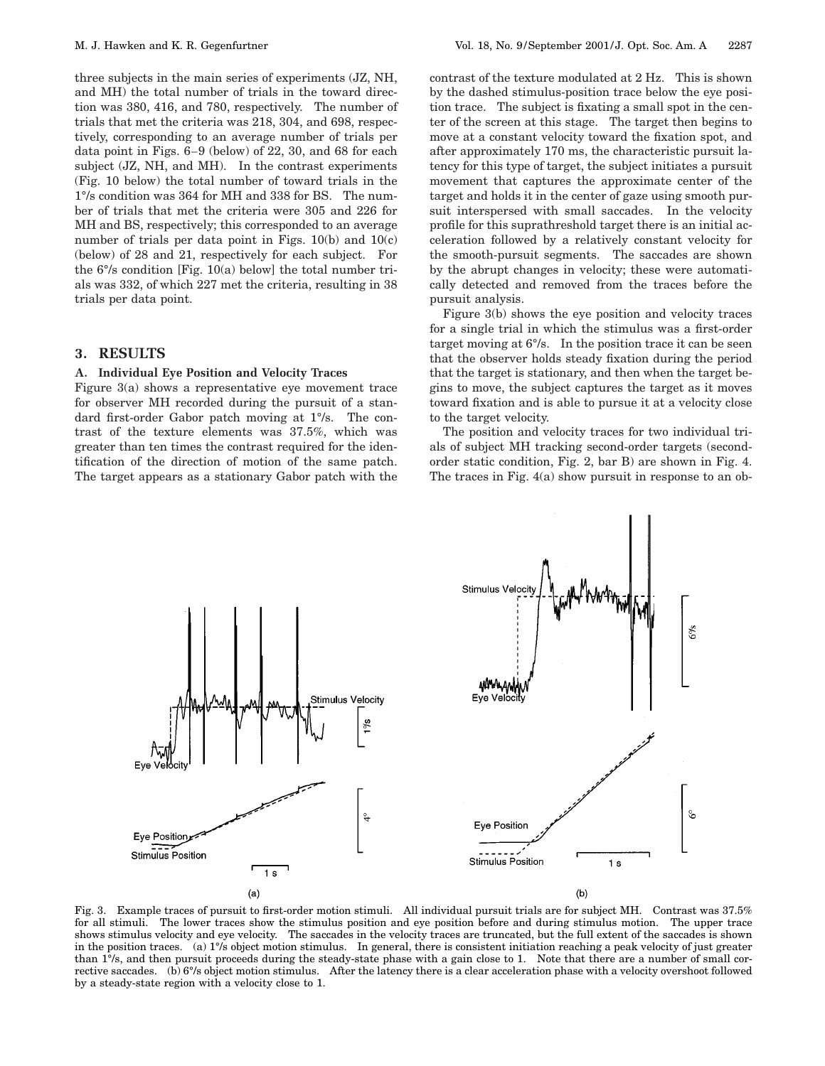three subjects in the main series of experiments (JZ, NH, and MH) the total number of trials in the toward direction was 380, 416, and 780, respectively. The number of trials that met the criteria was 218, 304, and 698, respectively, corresponding to an average number of trials per data point in Figs. 6–9 (below) of 22, 30, and 68 for each subject (JZ, NH, and MH). In the contrast experiments (Fig. 10 below) the total number of toward trials in the 1°/s condition was 364 for MH and 338 for BS. The number of trials that met the criteria were 305 and 226 for MH and BS, respectively; this corresponded to an average number of trials per data point in Figs. 10(b) and 10(c) (below) of 28 and 21, respectively for each subject. For the 6°/s condition [Fig. 10(a) below] the total number trials was 332, of which 227 met the criteria, resulting in 38 trials per data point.

# **3. RESULTS**

#### **A. Individual Eye Position and Velocity Traces**

Figure 3(a) shows a representative eye movement trace for observer MH recorded during the pursuit of a standard first-order Gabor patch moving at 1°/s. The contrast of the texture elements was 37.5%, which was greater than ten times the contrast required for the identification of the direction of motion of the same patch. The target appears as a stationary Gabor patch with the contrast of the texture modulated at 2 Hz. This is shown by the dashed stimulus-position trace below the eye position trace. The subject is fixating a small spot in the center of the screen at this stage. The target then begins to move at a constant velocity toward the fixation spot, and after approximately 170 ms, the characteristic pursuit latency for this type of target, the subject initiates a pursuit movement that captures the approximate center of the target and holds it in the center of gaze using smooth pursuit interspersed with small saccades. In the velocity profile for this suprathreshold target there is an initial acceleration followed by a relatively constant velocity for the smooth-pursuit segments. The saccades are shown by the abrupt changes in velocity; these were automatically detected and removed from the traces before the pursuit analysis.

Figure 3(b) shows the eye position and velocity traces for a single trial in which the stimulus was a first-order target moving at 6°/s. In the position trace it can be seen that the observer holds steady fixation during the period that the target is stationary, and then when the target begins to move, the subject captures the target as it moves toward fixation and is able to pursue it at a velocity close to the target velocity.

The position and velocity traces for two individual trials of subject MH tracking second-order targets (secondorder static condition, Fig. 2, bar B) are shown in Fig. 4. The traces in Fig. 4(a) show pursuit in response to an ob-



Fig. 3. Example traces of pursuit to first-order motion stimuli. All individual pursuit trials are for subject MH. Contrast was 37.5% for all stimuli. The lower traces show the stimulus position and eye position before and during stimulus motion. The upper trace shows stimulus velocity and eye velocity. The saccades in the velocity traces are truncated, but the full extent of the saccades is shown in the position traces. (a) 1°/s object motion stimulus. In general, there is consistent initiation reaching a peak velocity of just greater than 1°/s, and then pursuit proceeds during the steady-state phase with a gain close to 1. Note that there are a number of small corrective saccades. (b) 6°/s object motion stimulus. After the latency there is a clear acceleration phase with a velocity overshoot followed by a steady-state region with a velocity close to 1.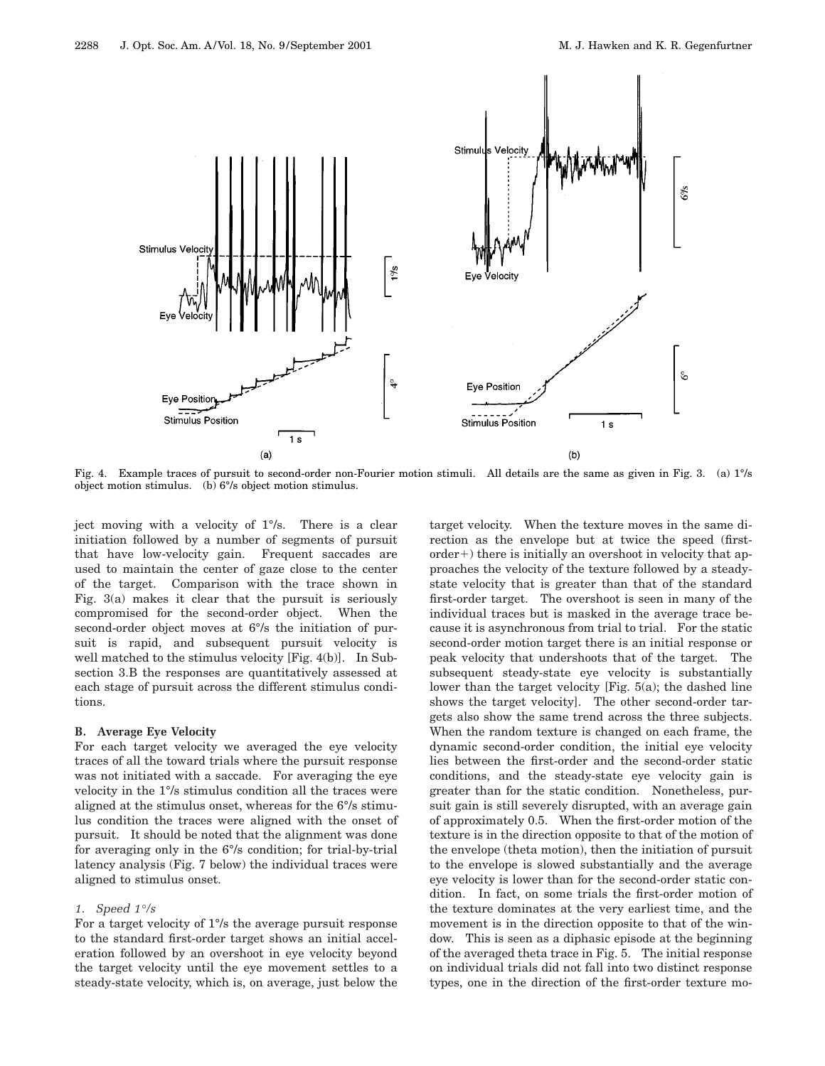

Fig. 4. Example traces of pursuit to second-order non-Fourier motion stimuli. All details are the same as given in Fig. 3. (a) 1°/s object motion stimulus. (b) 6°/s object motion stimulus.

ject moving with a velocity of 1°/s. There is a clear initiation followed by a number of segments of pursuit that have low-velocity gain. Frequent saccades are used to maintain the center of gaze close to the center of the target. Comparison with the trace shown in Fig. 3(a) makes it clear that the pursuit is seriously compromised for the second-order object. When the second-order object moves at  $6\%$  the initiation of pursuit is rapid, and subsequent pursuit velocity is well matched to the stimulus velocity [Fig. 4(b)]. In Subsection 3.B the responses are quantitatively assessed at each stage of pursuit across the different stimulus conditions.

# **B. Average Eye Velocity**

For each target velocity we averaged the eye velocity traces of all the toward trials where the pursuit response was not initiated with a saccade. For averaging the eye velocity in the 1°/s stimulus condition all the traces were aligned at the stimulus onset, whereas for the 6°/s stimulus condition the traces were aligned with the onset of pursuit. It should be noted that the alignment was done for averaging only in the 6°/s condition; for trial-by-trial latency analysis (Fig. 7 below) the individual traces were aligned to stimulus onset.

# *1. Speed 1°/s*

For a target velocity of 1°/s the average pursuit response to the standard first-order target shows an initial acceleration followed by an overshoot in eye velocity beyond the target velocity until the eye movement settles to a steady-state velocity, which is, on average, just below the target velocity. When the texture moves in the same direction as the envelope but at twice the speed (first $order+)$  there is initially an overshoot in velocity that approaches the velocity of the texture followed by a steadystate velocity that is greater than that of the standard first-order target. The overshoot is seen in many of the individual traces but is masked in the average trace because it is asynchronous from trial to trial. For the static second-order motion target there is an initial response or peak velocity that undershoots that of the target. The subsequent steady-state eye velocity is substantially lower than the target velocity [Fig. 5(a); the dashed line shows the target velocity]. The other second-order targets also show the same trend across the three subjects. When the random texture is changed on each frame, the dynamic second-order condition, the initial eye velocity lies between the first-order and the second-order static conditions, and the steady-state eye velocity gain is greater than for the static condition. Nonetheless, pursuit gain is still severely disrupted, with an average gain of approximately 0.5. When the first-order motion of the texture is in the direction opposite to that of the motion of the envelope (theta motion), then the initiation of pursuit to the envelope is slowed substantially and the average eye velocity is lower than for the second-order static condition. In fact, on some trials the first-order motion of the texture dominates at the very earliest time, and the movement is in the direction opposite to that of the window. This is seen as a diphasic episode at the beginning of the averaged theta trace in Fig. 5. The initial response on individual trials did not fall into two distinct response types, one in the direction of the first-order texture mo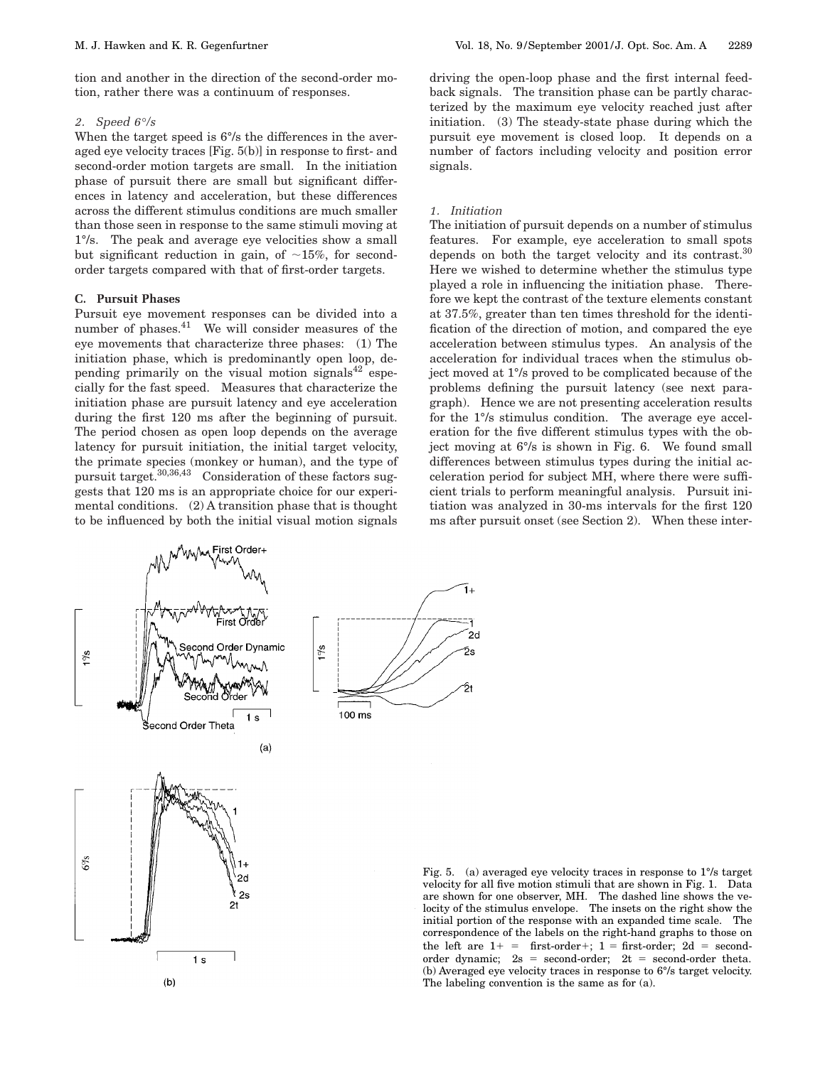tion and another in the direction of the second-order motion, rather there was a continuum of responses.

#### *2. Speed 6°/s*

When the target speed is  $6\%$  the differences in the averaged eye velocity traces [Fig. 5(b)] in response to first- and second-order motion targets are small. In the initiation phase of pursuit there are small but significant differences in latency and acceleration, but these differences across the different stimulus conditions are much smaller than those seen in response to the same stimuli moving at 1°/s. The peak and average eye velocities show a small but significant reduction in gain, of  $\sim$ 15%, for secondorder targets compared with that of first-order targets.

# **C. Pursuit Phases**

Pursuit eye movement responses can be divided into a number of phases.41 We will consider measures of the eye movements that characterize three phases: (1) The initiation phase, which is predominantly open loop, depending primarily on the visual motion signals<sup>42</sup> especially for the fast speed. Measures that characterize the initiation phase are pursuit latency and eye acceleration during the first 120 ms after the beginning of pursuit. The period chosen as open loop depends on the average latency for pursuit initiation, the initial target velocity, the primate species (monkey or human), and the type of pursuit target.30,36,43 Consideration of these factors suggests that 120 ms is an appropriate choice for our experimental conditions. (2) A transition phase that is thought to be influenced by both the initial visual motion signals driving the open-loop phase and the first internal feedback signals. The transition phase can be partly characterized by the maximum eye velocity reached just after initiation. (3) The steady-state phase during which the pursuit eye movement is closed loop. It depends on a number of factors including velocity and position error signals.

#### *1. Initiation*

The initiation of pursuit depends on a number of stimulus features. For example, eye acceleration to small spots depends on both the target velocity and its contrast.<sup>30</sup> Here we wished to determine whether the stimulus type played a role in influencing the initiation phase. Therefore we kept the contrast of the texture elements constant at 37.5%, greater than ten times threshold for the identification of the direction of motion, and compared the eye acceleration between stimulus types. An analysis of the acceleration for individual traces when the stimulus object moved at 1°/s proved to be complicated because of the problems defining the pursuit latency (see next paragraph). Hence we are not presenting acceleration results for the 1°/s stimulus condition. The average eye acceleration for the five different stimulus types with the object moving at 6°/s is shown in Fig. 6. We found small differences between stimulus types during the initial acceleration period for subject MH, where there were sufficient trials to perform meaningful analysis. Pursuit initiation was analyzed in 30-ms intervals for the first 120 ms after pursuit onset (see Section 2). When these inter-



 $1<sub>s</sub>$ 

 $(b)$ 

ī.  $2<sub>d</sub>$ ろこ ול 100 ms

Fig. 5. (a) averaged eye velocity traces in response to 1°/s target velocity for all five motion stimuli that are shown in Fig. 1. Data are shown for one observer, MH. The dashed line shows the velocity of the stimulus envelope. The insets on the right show the initial portion of the response with an expanded time scale. The correspondence of the labels on the right-hand graphs to those on the left are  $1+$  = first-order+; 1 = first-order; 2d = secondorder dynamic;  $2s = second-order$ ;  $2t = second-order theta$ . (b) Averaged eye velocity traces in response to 6°/s target velocity. The labeling convention is the same as for (a).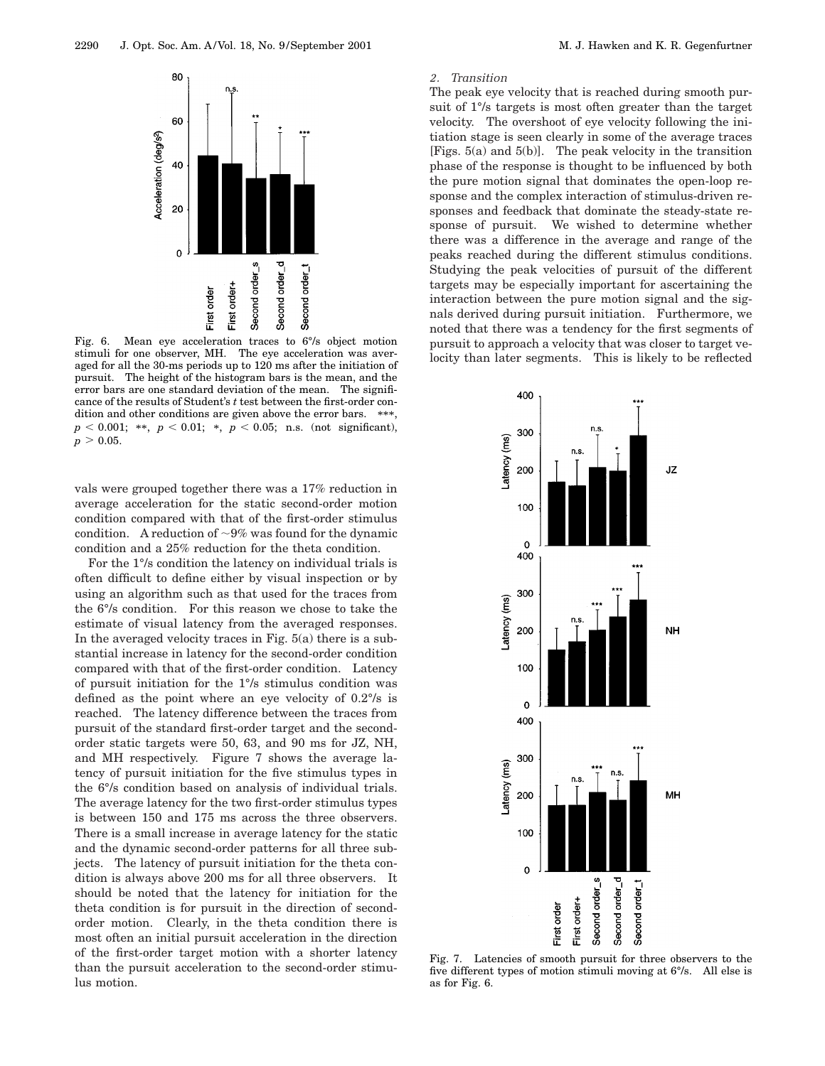

Fig. 6. Mean eye acceleration traces to 6°/s object motion stimuli for one observer, MH. The eye acceleration was averaged for all the 30-ms periods up to 120 ms after the initiation of pursuit. The height of the histogram bars is the mean, and the error bars are one standard deviation of the mean. The significance of the results of Student's *t* test between the first-order condition and other conditions are given above the error bars. \*\*\*,  $p < 0.001$ ; \*\*,  $p < 0.01$ ; \*,  $p < 0.05$ ; n.s. (not significant),  $p > 0.05$ .

vals were grouped together there was a 17% reduction in average acceleration for the static second-order motion condition compared with that of the first-order stimulus condition. A reduction of  $\sim 9\%$  was found for the dynamic condition and a 25% reduction for the theta condition.

For the 1°/s condition the latency on individual trials is often difficult to define either by visual inspection or by using an algorithm such as that used for the traces from the 6°/s condition. For this reason we chose to take the estimate of visual latency from the averaged responses. In the averaged velocity traces in Fig.  $5(a)$  there is a substantial increase in latency for the second-order condition compared with that of the first-order condition. Latency of pursuit initiation for the 1°/s stimulus condition was defined as the point where an eye velocity of 0.2°/s is reached. The latency difference between the traces from pursuit of the standard first-order target and the secondorder static targets were 50, 63, and 90 ms for JZ, NH, and MH respectively. Figure 7 shows the average latency of pursuit initiation for the five stimulus types in the 6°/s condition based on analysis of individual trials. The average latency for the two first-order stimulus types is between 150 and 175 ms across the three observers. There is a small increase in average latency for the static and the dynamic second-order patterns for all three subjects. The latency of pursuit initiation for the theta condition is always above 200 ms for all three observers. It should be noted that the latency for initiation for the theta condition is for pursuit in the direction of secondorder motion. Clearly, in the theta condition there is most often an initial pursuit acceleration in the direction of the first-order target motion with a shorter latency than the pursuit acceleration to the second-order stimulus motion.

#### *2. Transition*

The peak eye velocity that is reached during smooth pursuit of 1°/s targets is most often greater than the target velocity. The overshoot of eye velocity following the initiation stage is seen clearly in some of the average traces [Figs. 5(a) and 5(b)]. The peak velocity in the transition phase of the response is thought to be influenced by both the pure motion signal that dominates the open-loop response and the complex interaction of stimulus-driven responses and feedback that dominate the steady-state response of pursuit. We wished to determine whether there was a difference in the average and range of the peaks reached during the different stimulus conditions. Studying the peak velocities of pursuit of the different targets may be especially important for ascertaining the interaction between the pure motion signal and the signals derived during pursuit initiation. Furthermore, we noted that there was a tendency for the first segments of pursuit to approach a velocity that was closer to target velocity than later segments. This is likely to be reflected



Fig. 7. Latencies of smooth pursuit for three observers to the five different types of motion stimuli moving at 6°/s. All else is as for Fig. 6.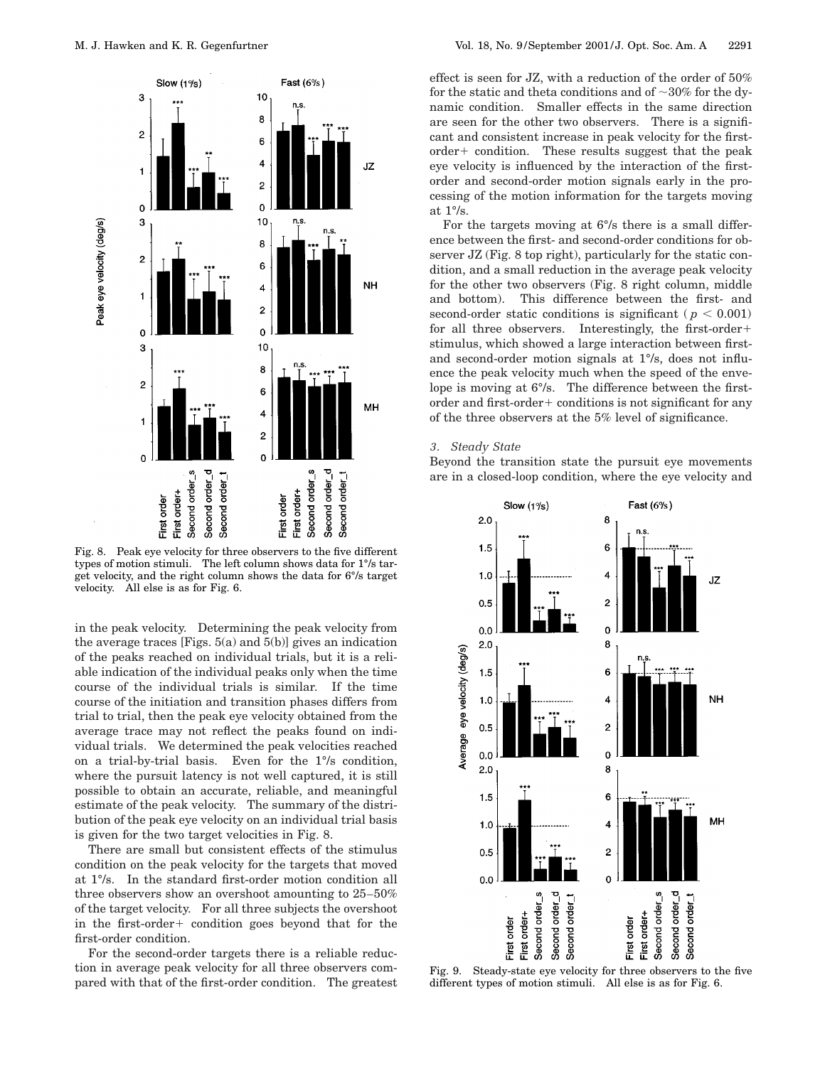

Fig. 8. Peak eye velocity for three observers to the five different types of motion stimuli. The left column shows data for 1°/s target velocity, and the right column shows the data for 6°/s target velocity. All else is as for Fig. 6.

in the peak velocity. Determining the peak velocity from the average traces [Figs.  $5(a)$  and  $5(b)$ ] gives an indication of the peaks reached on individual trials, but it is a reliable indication of the individual peaks only when the time course of the individual trials is similar. If the time course of the initiation and transition phases differs from trial to trial, then the peak eye velocity obtained from the average trace may not reflect the peaks found on individual trials. We determined the peak velocities reached on a trial-by-trial basis. Even for the 1°/s condition, where the pursuit latency is not well captured, it is still possible to obtain an accurate, reliable, and meaningful estimate of the peak velocity. The summary of the distribution of the peak eye velocity on an individual trial basis is given for the two target velocities in Fig. 8.

There are small but consistent effects of the stimulus condition on the peak velocity for the targets that moved at 1°/s. In the standard first-order motion condition all three observers show an overshoot amounting to 25–50% of the target velocity. For all three subjects the overshoot in the first-order  $+$  condition goes beyond that for the first-order condition.

For the second-order targets there is a reliable reduction in average peak velocity for all three observers compared with that of the first-order condition. The greatest effect is seen for JZ, with a reduction of the order of 50% for the static and theta conditions and of  $\sim 30\%$  for the dynamic condition. Smaller effects in the same direction are seen for the other two observers. There is a significant and consistent increase in peak velocity for the first $order+$  condition. These results suggest that the peak eye velocity is influenced by the interaction of the firstorder and second-order motion signals early in the processing of the motion information for the targets moving at 1°/s.

For the targets moving at 6°/s there is a small difference between the first- and second-order conditions for observer JZ (Fig. 8 top right), particularly for the static condition, and a small reduction in the average peak velocity for the other two observers (Fig. 8 right column, middle and bottom). This difference between the first- and second-order static conditions is significant ( $p < 0.001$ ) for all three observers. Interestingly, the first-order $+$ stimulus, which showed a large interaction between firstand second-order motion signals at 1°/s, does not influence the peak velocity much when the speed of the envelope is moving at 6°/s. The difference between the firstorder and first-order $+$  conditions is not significant for any of the three observers at the 5% level of significance.

## *3. Steady State*

Beyond the transition state the pursuit eye movements are in a closed-loop condition, where the eye velocity and



Fig. 9. Steady-state eye velocity for three observers to the five different types of motion stimuli. All else is as for Fig. 6.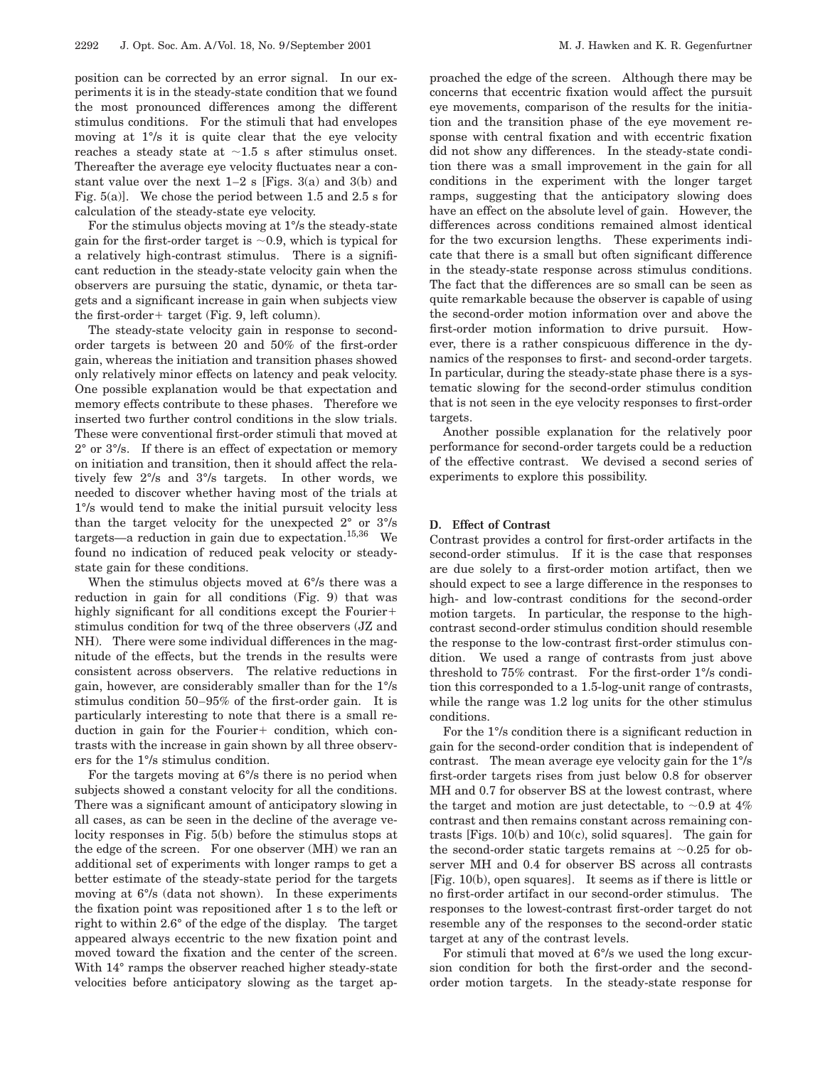position can be corrected by an error signal. In our experiments it is in the steady-state condition that we found the most pronounced differences among the different stimulus conditions. For the stimuli that had envelopes moving at 1°/s it is quite clear that the eye velocity reaches a steady state at  $\sim$ 1.5 s after stimulus onset. Thereafter the average eye velocity fluctuates near a constant value over the next  $1-2$  s [Figs. 3(a) and 3(b) and Fig. 5(a)]. We chose the period between 1.5 and 2.5 s for calculation of the steady-state eye velocity.

For the stimulus objects moving at 1°/s the steady-state gain for the first-order target is  $\sim 0.9$ , which is typical for a relatively high-contrast stimulus. There is a significant reduction in the steady-state velocity gain when the observers are pursuing the static, dynamic, or theta targets and a significant increase in gain when subjects view the first-order + target (Fig. 9, left column).

The steady-state velocity gain in response to secondorder targets is between 20 and 50% of the first-order gain, whereas the initiation and transition phases showed only relatively minor effects on latency and peak velocity. One possible explanation would be that expectation and memory effects contribute to these phases. Therefore we inserted two further control conditions in the slow trials. These were conventional first-order stimuli that moved at 2° or 3°/s. If there is an effect of expectation or memory on initiation and transition, then it should affect the relatively few 2°/s and 3°/s targets. In other words, we needed to discover whether having most of the trials at 1°/s would tend to make the initial pursuit velocity less than the target velocity for the unexpected  $2^{\circ}$  or  $3^{\circ}/s$ targets—a reduction in gain due to expectation.<sup>15,36</sup> We found no indication of reduced peak velocity or steadystate gain for these conditions.

When the stimulus objects moved at 6°/s there was a reduction in gain for all conditions (Fig. 9) that was highly significant for all conditions except the Fourier $+$ stimulus condition for twq of the three observers (JZ and NH). There were some individual differences in the magnitude of the effects, but the trends in the results were consistent across observers. The relative reductions in gain, however, are considerably smaller than for the 1°/s stimulus condition 50–95% of the first-order gain. It is particularly interesting to note that there is a small reduction in gain for the Fourier $+$  condition, which contrasts with the increase in gain shown by all three observers for the 1°/s stimulus condition.

For the targets moving at 6°/s there is no period when subjects showed a constant velocity for all the conditions. There was a significant amount of anticipatory slowing in all cases, as can be seen in the decline of the average velocity responses in Fig. 5(b) before the stimulus stops at the edge of the screen. For one observer (MH) we ran an additional set of experiments with longer ramps to get a better estimate of the steady-state period for the targets moving at 6°/s (data not shown). In these experiments the fixation point was repositioned after 1 s to the left or right to within 2.6° of the edge of the display. The target appeared always eccentric to the new fixation point and moved toward the fixation and the center of the screen. With 14° ramps the observer reached higher steady-state velocities before anticipatory slowing as the target approached the edge of the screen. Although there may be concerns that eccentric fixation would affect the pursuit eye movements, comparison of the results for the initiation and the transition phase of the eye movement response with central fixation and with eccentric fixation did not show any differences. In the steady-state condition there was a small improvement in the gain for all conditions in the experiment with the longer target ramps, suggesting that the anticipatory slowing does have an effect on the absolute level of gain. However, the differences across conditions remained almost identical for the two excursion lengths. These experiments indicate that there is a small but often significant difference in the steady-state response across stimulus conditions. The fact that the differences are so small can be seen as quite remarkable because the observer is capable of using the second-order motion information over and above the first-order motion information to drive pursuit. However, there is a rather conspicuous difference in the dynamics of the responses to first- and second-order targets. In particular, during the steady-state phase there is a systematic slowing for the second-order stimulus condition that is not seen in the eye velocity responses to first-order targets.

Another possible explanation for the relatively poor performance for second-order targets could be a reduction of the effective contrast. We devised a second series of experiments to explore this possibility.

#### **D. Effect of Contrast**

Contrast provides a control for first-order artifacts in the second-order stimulus. If it is the case that responses are due solely to a first-order motion artifact, then we should expect to see a large difference in the responses to high- and low-contrast conditions for the second-order motion targets. In particular, the response to the highcontrast second-order stimulus condition should resemble the response to the low-contrast first-order stimulus condition. We used a range of contrasts from just above threshold to 75% contrast. For the first-order 1°/s condition this corresponded to a 1.5-log-unit range of contrasts, while the range was 1.2 log units for the other stimulus conditions.

For the 1°/s condition there is a significant reduction in gain for the second-order condition that is independent of contrast. The mean average eye velocity gain for the 1°/s first-order targets rises from just below 0.8 for observer MH and 0.7 for observer BS at the lowest contrast, where the target and motion are just detectable, to  $\sim 0.9$  at 4% contrast and then remains constant across remaining contrasts [Figs. 10(b) and 10(c), solid squares]. The gain for the second-order static targets remains at  $\sim 0.25$  for observer MH and 0.4 for observer BS across all contrasts [Fig. 10(b), open squares]. It seems as if there is little or no first-order artifact in our second-order stimulus. The responses to the lowest-contrast first-order target do not resemble any of the responses to the second-order static target at any of the contrast levels.

For stimuli that moved at 6°/s we used the long excursion condition for both the first-order and the secondorder motion targets. In the steady-state response for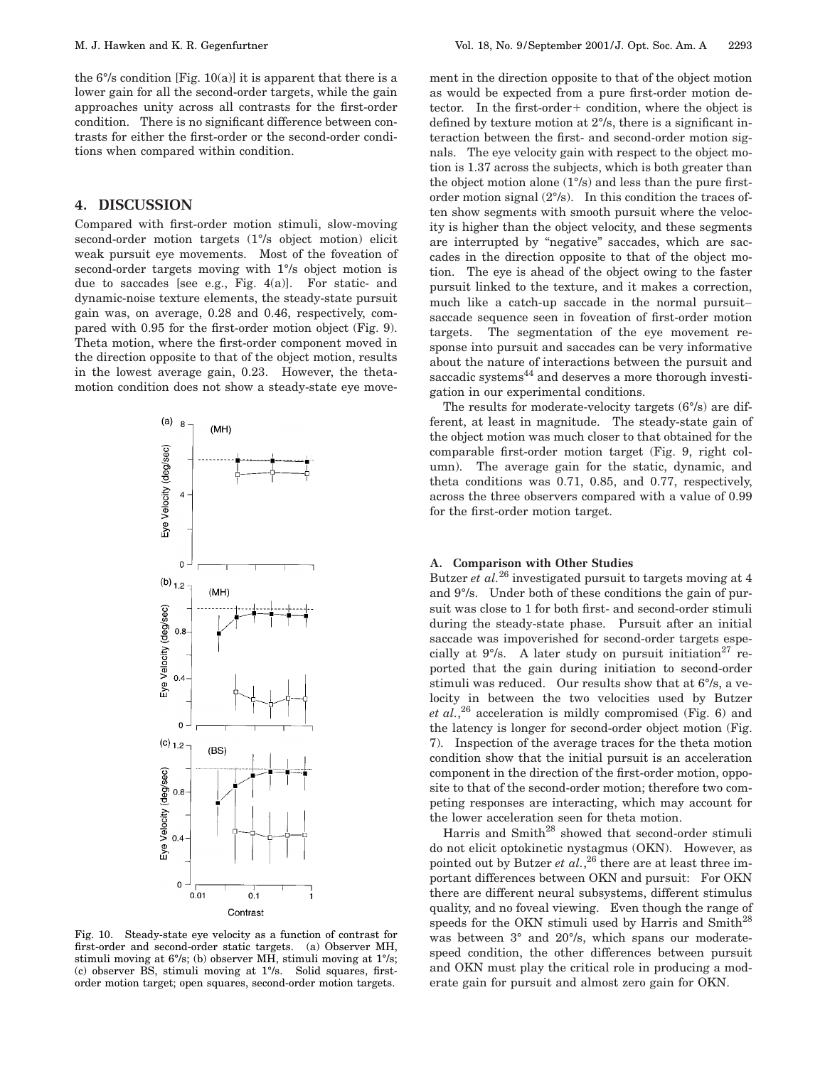the  $6\%$  condition [Fig. 10(a)] it is apparent that there is a lower gain for all the second-order targets, while the gain approaches unity across all contrasts for the first-order condition. There is no significant difference between contrasts for either the first-order or the second-order conditions when compared within condition.

# **4. DISCUSSION**

Compared with first-order motion stimuli, slow-moving second-order motion targets (1°/s object motion) elicit weak pursuit eye movements. Most of the foveation of second-order targets moving with 1°/s object motion is due to saccades [see e.g., Fig. 4(a)]. For static- and dynamic-noise texture elements, the steady-state pursuit gain was, on average, 0.28 and 0.46, respectively, compared with 0.95 for the first-order motion object (Fig. 9). Theta motion, where the first-order component moved in the direction opposite to that of the object motion, results in the lowest average gain, 0.23. However, the thetamotion condition does not show a steady-state eye move-



Fig. 10. Steady-state eye velocity as a function of contrast for first-order and second-order static targets. (a) Observer MH, stimuli moving at 6°/s; (b) observer MH, stimuli moving at 1°/s; (c) observer BS, stimuli moving at 1°/s. Solid squares, firstorder motion target; open squares, second-order motion targets.

ment in the direction opposite to that of the object motion as would be expected from a pure first-order motion detector. In the first-order+ condition, where the object is defined by texture motion at 2°/s, there is a significant interaction between the first- and second-order motion signals. The eye velocity gain with respect to the object motion is 1.37 across the subjects, which is both greater than the object motion alone (1°/s) and less than the pure firstorder motion signal (2°/s). In this condition the traces often show segments with smooth pursuit where the velocity is higher than the object velocity, and these segments are interrupted by "negative" saccades, which are saccades in the direction opposite to that of the object motion. The eye is ahead of the object owing to the faster pursuit linked to the texture, and it makes a correction, much like a catch-up saccade in the normal pursuit– saccade sequence seen in foveation of first-order motion targets. The segmentation of the eye movement response into pursuit and saccades can be very informative about the nature of interactions between the pursuit and saccadic systems<sup>44</sup> and deserves a more thorough investigation in our experimental conditions.

The results for moderate-velocity targets (6°/s) are different, at least in magnitude. The steady-state gain of the object motion was much closer to that obtained for the comparable first-order motion target (Fig. 9, right column). The average gain for the static, dynamic, and theta conditions was 0.71, 0.85, and 0.77, respectively, across the three observers compared with a value of 0.99 for the first-order motion target.

# **A. Comparison with Other Studies**

Butzer *et al.*<sup>26</sup> investigated pursuit to targets moving at 4 and 9°/s. Under both of these conditions the gain of pursuit was close to 1 for both first- and second-order stimuli during the steady-state phase. Pursuit after an initial saccade was impoverished for second-order targets especially at  $9^{\circ}/s$ . A later study on pursuit initiation<sup>27</sup> reported that the gain during initiation to second-order stimuli was reduced. Our results show that at 6°/s, a velocity in between the two velocities used by Butzer *et al.*, <sup>26</sup> acceleration is mildly compromised (Fig. 6) and the latency is longer for second-order object motion (Fig. 7). Inspection of the average traces for the theta motion condition show that the initial pursuit is an acceleration component in the direction of the first-order motion, opposite to that of the second-order motion; therefore two competing responses are interacting, which may account for the lower acceleration seen for theta motion.

Harris and Smith<sup>28</sup> showed that second-order stimuli do not elicit optokinetic nystagmus (OKN). However, as pointed out by Butzer *et al.*,<sup>26</sup> there are at least three important differences between OKN and pursuit: For OKN there are different neural subsystems, different stimulus quality, and no foveal viewing. Even though the range of speeds for the OKN stimuli used by Harris and Smith<sup>28</sup> was between 3° and 20°/s, which spans our moderatespeed condition, the other differences between pursuit and OKN must play the critical role in producing a moderate gain for pursuit and almost zero gain for OKN.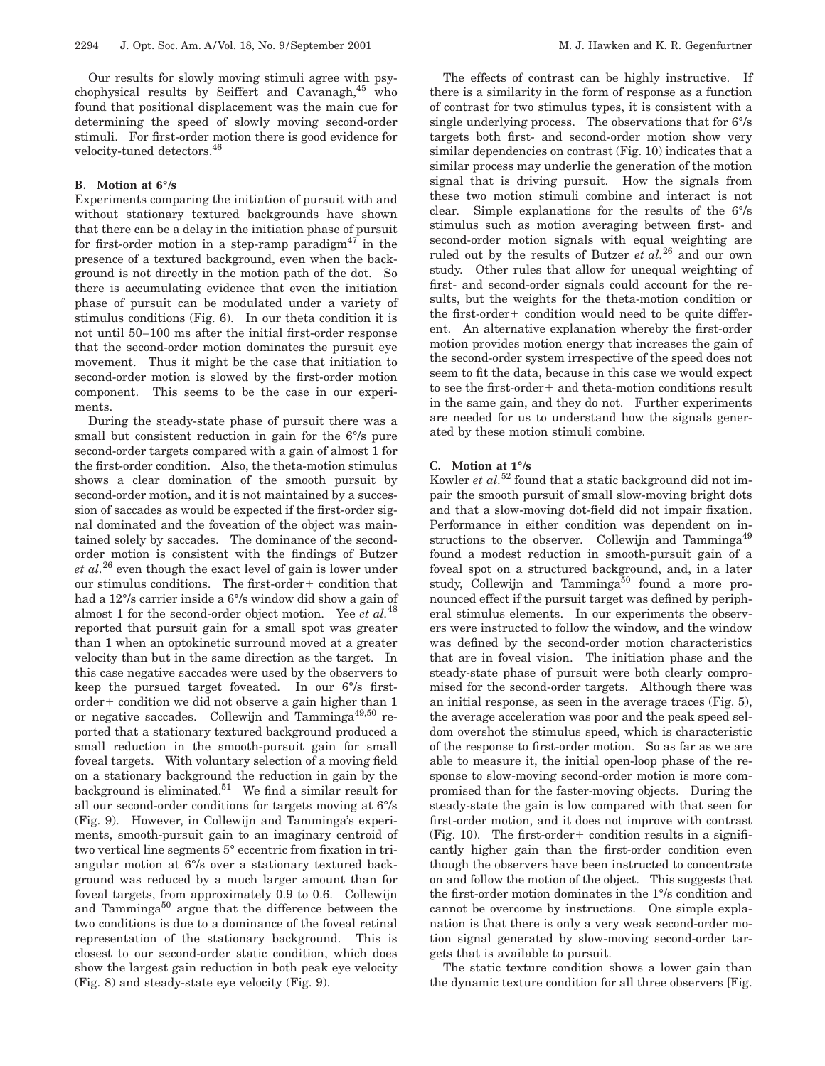Our results for slowly moving stimuli agree with psychophysical results by Seiffert and Cavanagh, $45$  who found that positional displacement was the main cue for determining the speed of slowly moving second-order stimuli. For first-order motion there is good evidence for velocity-tuned detectors.<sup>46</sup>

# **B. Motion at 6°/s**

Experiments comparing the initiation of pursuit with and without stationary textured backgrounds have shown that there can be a delay in the initiation phase of pursuit for first-order motion in a step-ramp paradigm<sup>47</sup> in the presence of a textured background, even when the background is not directly in the motion path of the dot. So there is accumulating evidence that even the initiation phase of pursuit can be modulated under a variety of stimulus conditions (Fig. 6). In our theta condition it is not until 50–100 ms after the initial first-order response that the second-order motion dominates the pursuit eye movement. Thus it might be the case that initiation to second-order motion is slowed by the first-order motion component. This seems to be the case in our experiments.

During the steady-state phase of pursuit there was a small but consistent reduction in gain for the  $6\%$  pure second-order targets compared with a gain of almost 1 for the first-order condition. Also, the theta-motion stimulus shows a clear domination of the smooth pursuit by second-order motion, and it is not maintained by a succession of saccades as would be expected if the first-order signal dominated and the foveation of the object was maintained solely by saccades. The dominance of the secondorder motion is consistent with the findings of Butzer *et al.*<sup>26</sup> even though the exact level of gain is lower under our stimulus conditions. The first-order+ condition that had a 12°/s carrier inside a 6°/s window did show a gain of almost 1 for the second-order object motion. Yee *et al.*<sup>48</sup> reported that pursuit gain for a small spot was greater than 1 when an optokinetic surround moved at a greater velocity than but in the same direction as the target. In this case negative saccades were used by the observers to keep the pursued target foveated. In our 6°/s first $order+$  condition we did not observe a gain higher than 1 or negative saccades. Collewijn and Tamminga49,50 reported that a stationary textured background produced a small reduction in the smooth-pursuit gain for small foveal targets. With voluntary selection of a moving field on a stationary background the reduction in gain by the background is eliminated. $51$  We find a similar result for all our second-order conditions for targets moving at 6°/s (Fig. 9). However, in Collewijn and Tamminga's experiments, smooth-pursuit gain to an imaginary centroid of two vertical line segments 5° eccentric from fixation in triangular motion at 6°/s over a stationary textured background was reduced by a much larger amount than for foveal targets, from approximately 0.9 to 0.6. Collewijn and Tamminga<sup>50</sup> argue that the difference between the two conditions is due to a dominance of the foveal retinal representation of the stationary background. This is closest to our second-order static condition, which does show the largest gain reduction in both peak eye velocity (Fig. 8) and steady-state eye velocity (Fig. 9).

The effects of contrast can be highly instructive. If there is a similarity in the form of response as a function of contrast for two stimulus types, it is consistent with a single underlying process. The observations that for 6°/s targets both first- and second-order motion show very similar dependencies on contrast (Fig. 10) indicates that a similar process may underlie the generation of the motion signal that is driving pursuit. How the signals from these two motion stimuli combine and interact is not clear. Simple explanations for the results of the 6°/s stimulus such as motion averaging between first- and second-order motion signals with equal weighting are ruled out by the results of Butzer *et al.*<sup>26</sup> and our own study. Other rules that allow for unequal weighting of first- and second-order signals could account for the results, but the weights for the theta-motion condition or the first-order + condition would need to be quite different. An alternative explanation whereby the first-order motion provides motion energy that increases the gain of the second-order system irrespective of the speed does not seem to fit the data, because in this case we would expect to see the first-order  $+$  and theta-motion conditions result in the same gain, and they do not. Further experiments are needed for us to understand how the signals generated by these motion stimuli combine.

## **C. Motion at 1°/s**

Kowler *et al.*<sup>52</sup> found that a static background did not impair the smooth pursuit of small slow-moving bright dots and that a slow-moving dot-field did not impair fixation. Performance in either condition was dependent on instructions to the observer. Collewijn and Tamminga<sup>49</sup> found a modest reduction in smooth-pursuit gain of a foveal spot on a structured background, and, in a later study, Collewijn and Tamminga $50$  found a more pronounced effect if the pursuit target was defined by peripheral stimulus elements. In our experiments the observers were instructed to follow the window, and the window was defined by the second-order motion characteristics that are in foveal vision. The initiation phase and the steady-state phase of pursuit were both clearly compromised for the second-order targets. Although there was an initial response, as seen in the average traces (Fig. 5), the average acceleration was poor and the peak speed seldom overshot the stimulus speed, which is characteristic of the response to first-order motion. So as far as we are able to measure it, the initial open-loop phase of the response to slow-moving second-order motion is more compromised than for the faster-moving objects. During the steady-state the gain is low compared with that seen for first-order motion, and it does not improve with contrast  $(Fig. 10)$ . The first-order + condition results in a significantly higher gain than the first-order condition even though the observers have been instructed to concentrate on and follow the motion of the object. This suggests that the first-order motion dominates in the 1°/s condition and cannot be overcome by instructions. One simple explanation is that there is only a very weak second-order motion signal generated by slow-moving second-order targets that is available to pursuit.

The static texture condition shows a lower gain than the dynamic texture condition for all three observers [Fig.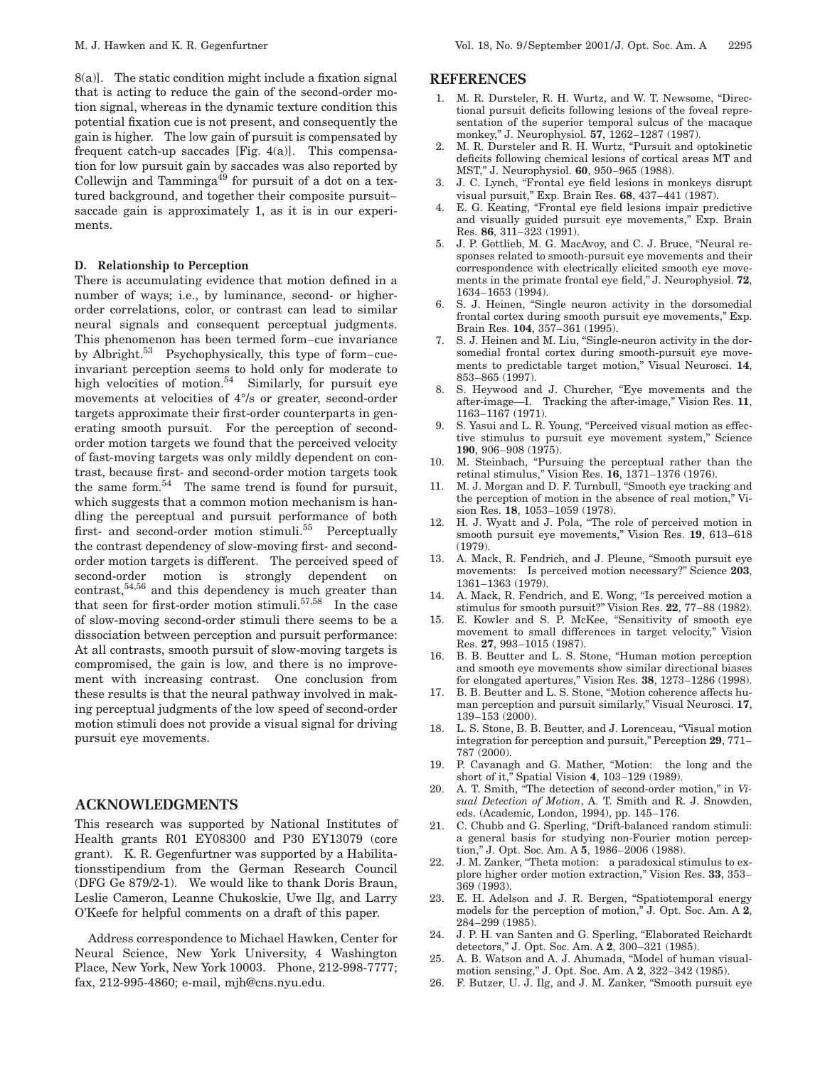8(a)]. The static condition might include a fixation signal that is acting to reduce the gain of the second-order motion signal, whereas in the dynamic texture condition this potential fixation cue is not present, and consequently the gain is higher. The low gain of pursuit is compensated by frequent catch-up saccades [Fig. 4(a)]. This compensation for low pursuit gain by saccades was also reported by Collewijn and Tamminga<sup> $49$ </sup> for pursuit of a dot on a textured background, and together their composite pursuit– saccade gain is approximately 1, as it is in our experiments.

#### **D. Relationship to Perception**

There is accumulating evidence that motion defined in a number of ways; i.e., by luminance, second- or higherorder correlations, color, or contrast can lead to similar neural signals and consequent perceptual judgments. This phenomenon has been termed form–cue invariance by Albright.53 Psychophysically, this type of form–cueinvariant perception seems to hold only for moderate to high velocities of motion.<sup>54</sup> Similarly, for pursuit eye movements at velocities of 4°/s or greater, second-order targets approximate their first-order counterparts in generating smooth pursuit. For the perception of secondorder motion targets we found that the perceived velocity of fast-moving targets was only mildly dependent on contrast, because first- and second-order motion targets took the same form. $54$  The same trend is found for pursuit, which suggests that a common motion mechanism is handling the perceptual and pursuit performance of both first- and second-order motion stimuli.<sup>55</sup> Perceptually the contrast dependency of slow-moving first- and secondorder motion targets is different. The perceived speed of second-order motion is strongly dependent on contrast, $54,56$  and this dependency is much greater than that seen for first-order motion stimuli.<sup>57,58</sup> In the case of slow-moving second-order stimuli there seems to be a dissociation between perception and pursuit performance: At all contrasts, smooth pursuit of slow-moving targets is compromised, the gain is low, and there is no improvement with increasing contrast. One conclusion from these results is that the neural pathway involved in making perceptual judgments of the low speed of second-order motion stimuli does not provide a visual signal for driving pursuit eye movements.

# **ACKNOWLEDGMENTS**

This research was supported by National Institutes of Health grants R01 EY08300 and P30 EY13079 (core grant). K. R. Gegenfurtner was supported by a Habilitationsstipendium from the German Research Council (DFG Ge 879/2-1). We would like to thank Doris Braun, Leslie Cameron, Leanne Chukoskie, Uwe Ilg, and Larry O'Keefe for helpful comments on a draft of this paper.

Address correspondence to Michael Hawken, Center for Neural Science, New York University, 4 Washington Place, New York, New York 10003. Phone, 212-998-7777; fax, 212-995-4860; e-mail, mjh@cns.nyu.edu.

## **REFERENCES**

- 1. M. R. Dursteler, R. H. Wurtz, and W. T. Newsome, ''Directional pursuit deficits following lesions of the foveal representation of the superior temporal sulcus of the macaque monkey,'' J. Neurophysiol. **57**, 1262–1287 (1987).
- 2. M. R. Dursteler and R. H. Wurtz, "Pursuit and optokinetic deficits following chemical lesions of cortical areas MT and MST,'' J. Neurophysiol. **60**, 950–965 (1988).
- 3. J. C. Lynch, "Frontal eye field lesions in monkeys disrupt visual pursuit,'' Exp. Brain Res. **68**, 437–441 (1987).
- 4. E. G. Keating, "Frontal eye field lesions impair predictive and visually guided pursuit eye movements,'' Exp. Brain Res. **86**, 311–323 (1991).
- 5. J. P. Gottlieb, M. G. MacAvoy, and C. J. Bruce, ''Neural responses related to smooth-pursuit eye movements and their correspondence with electrically elicited smooth eye movements in the primate frontal eye field,'' J. Neurophysiol. **72**, 1634–1653 (1994).
- 6. S. J. Heinen, ''Single neuron activity in the dorsomedial frontal cortex during smooth pursuit eye movements,'' Exp. Brain Res. **104**, 357–361 (1995).
- 7. S. J. Heinen and M. Liu, ''Single-neuron activity in the dorsomedial frontal cortex during smooth-pursuit eye movements to predictable target motion,'' Visual Neurosci. **14**, 853–865 (1997).
- 8. S. Heywood and J. Churcher, "Eye movements and the after-image—I. Tracking the after-image,'' Vision Res. **11**, 1163–1167 (1971).
- 9. S. Yasui and L. R. Young, "Perceived visual motion as effective stimulus to pursuit eye movement system,'' Science **190**, 906–908 (1975).
- 10. M. Steinbach, "Pursuing the perceptual rather than the retinal stimulus,'' Vision Res. **16**, 1371–1376 (1976).
- 11. M. J. Morgan and D. F. Turnbull, "Smooth eye tracking and the perception of motion in the absence of real motion,'' Vision Res. **18**, 1053–1059 (1978).
- 12. H. J. Wyatt and J. Pola, ''The role of perceived motion in smooth pursuit eye movements,'' Vision Res. **19**, 613–618 (1979).
- 13. A. Mack, R. Fendrich, and J. Pleune, "Smooth pursuit eye movements: Is perceived motion necessary?'' Science **203**, 1361–1363 (1979).
- 14. A. Mack, R. Fendrich, and E. Wong, ''Is perceived motion a stimulus for smooth pursuit?'' Vision Res. **22**, 77–88 (1982).
- 15. E. Kowler and S. P. McKee, ''Sensitivity of smooth eye movement to small differences in target velocity," Vision Res. **27**, 993–1015 (1987).
- 16. B. B. Beutter and L. S. Stone, "Human motion perception and smooth eye movements show similar directional biases for elongated apertures,'' Vision Res. **38**, 1273–1286 (1998).
- 17. B. B. Beutter and L. S. Stone, ''Motion coherence affects human perception and pursuit similarly,'' Visual Neurosci. **17**, 139–153 (2000).
- 18. L. S. Stone, B. B. Beutter, and J. Lorenceau, ''Visual motion integration for perception and pursuit,'' Perception **29**, 771– 787 (2000).
- 19. P. Cavanagh and G. Mather, ''Motion: the long and the short of it,'' Spatial Vision **4**, 103–129 (1989).
- 20. A. T. Smith, "The detection of second-order motion," in *Visual Detection of Motion*, A. T. Smith and R. J. Snowden, eds. (Academic, London, 1994), pp. 145–176.
- 21. C. Chubb and G. Sperling, "Drift-balanced random stimuli: a general basis for studying non-Fourier motion perception,'' J. Opt. Soc. Am. A **5**, 1986–2006 (1988).
- 22. J. M. Zanker, "Theta motion: a paradoxical stimulus to explore higher order motion extraction,'' Vision Res. **33**, 353– 369 (1993).
- 23. E. H. Adelson and J. R. Bergen, "Spatiotemporal energy models for the perception of motion,'' J. Opt. Soc. Am. A **2**, 284–299 (1985).
- 24. J. P. H. van Santen and G. Sperling, ''Elaborated Reichardt detectors,'' J. Opt. Soc. Am. A **2**, 300–321 (1985).
- 25. A. B. Watson and A. J. Ahumada, ''Model of human visualmotion sensing,'' J. Opt. Soc. Am. A **2**, 322–342 (1985).
- 26. F. Butzer, U. J. Ilg, and J. M. Zanker, ''Smooth pursuit eye